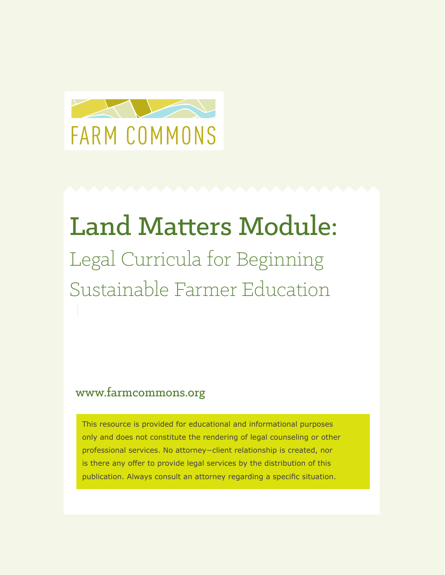

## Land Matters Module: Legal Curricula for Beginning Sustainable Farmer Education

## www.farmcommons.org

This resource is provided for educational and informational purposes only and does not constitute the rendering of legal counseling or other professional services. No attorney−client relationship is created, nor is there any offer to provide legal services by the distribution of this publication. Always consult an attorney regarding a specific situation.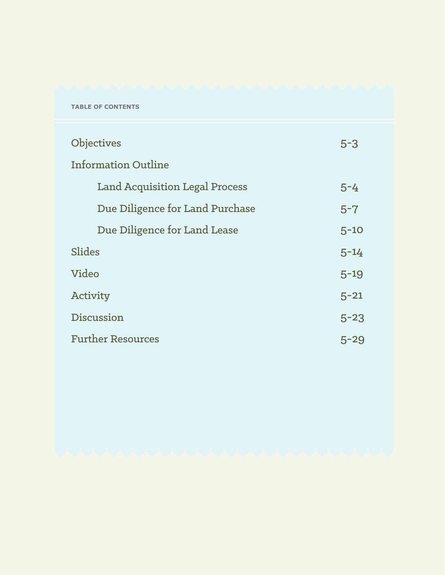#### **TABLE OF CONTENTS**

| <b>Objectives</b>                     | $5 - 3$  |
|---------------------------------------|----------|
| <b>Information Outline</b>            |          |
| <b>Land Acquisition Legal Process</b> | $5 - 4$  |
| Due Diligence for Land Purchase       | $5 - 7$  |
| Due Diligence for Land Lease          | $5 - 10$ |
| Slides                                | $5 - 14$ |
| Video                                 | $5 - 19$ |
| Activity                              | $5 - 21$ |
| Discussion                            | $5 - 23$ |
| <b>Further Resources</b>              | 5-29     |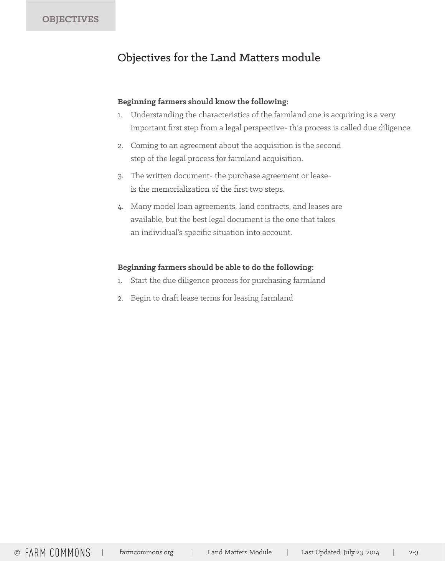## Objectives for the Land Matters module

#### **Beginning farmers should know the following:**

- 1. Understanding the characteristics of the farmland one is acquiring is a very important first step from a legal perspective- this process is called due diligence.
- 2. Coming to an agreement about the acquisition is the second step of the legal process for farmland acquisition.
- 3. The written document- the purchase agreement or leaseis the memorialization of the first two steps.
- 4. Many model loan agreements, land contracts, and leases are available, but the best legal document is the one that takes an individual's specific situation into account.

### **Beginning farmers should be able to do the following:**

- 1. Start the due diligence process for purchasing farmland
- 2. Begin to draft lease terms for leasing farmland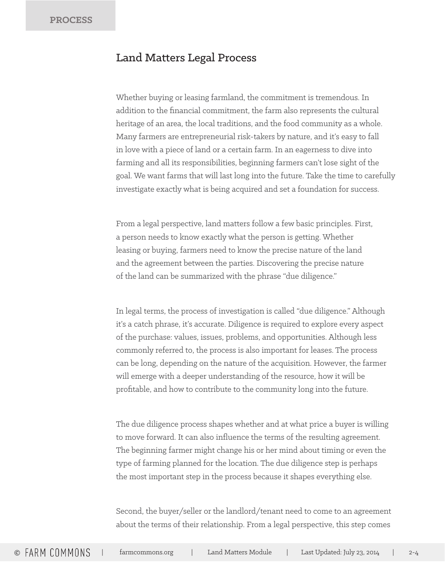## Land Matters Legal Process

Whether buying or leasing farmland, the commitment is tremendous. In addition to the financial commitment, the farm also represents the cultural heritage of an area, the local traditions, and the food community as a whole. Many farmers are entrepreneurial risk-takers by nature, and it's easy to fall in love with a piece of land or a certain farm. In an eagerness to dive into farming and all its responsibilities, beginning farmers can't lose sight of the goal. We want farms that will last long into the future. Take the time to carefully investigate exactly what is being acquired and set a foundation for success.

From a legal perspective, land matters follow a few basic principles. First, a person needs to know exactly what the person is getting. Whether leasing or buying, farmers need to know the precise nature of the land and the agreement between the parties. Discovering the precise nature of the land can be summarized with the phrase "due diligence."

In legal terms, the process of investigation is called "due diligence." Although it's a catch phrase, it's accurate. Diligence is required to explore every aspect of the purchase: values, issues, problems, and opportunities. Although less commonly referred to, the process is also important for leases. The process can be long, depending on the nature of the acquisition. However, the farmer will emerge with a deeper understanding of the resource, how it will be profitable, and how to contribute to the community long into the future.

The due diligence process shapes whether and at what price a buyer is willing to move forward. It can also influence the terms of the resulting agreement. The beginning farmer might change his or her mind about timing or even the type of farming planned for the location. The due diligence step is perhaps the most important step in the process because it shapes everything else.

Second, the buyer/seller or the landlord/tenant need to come to an agreement about the terms of their relationship. From a legal perspective, this step comes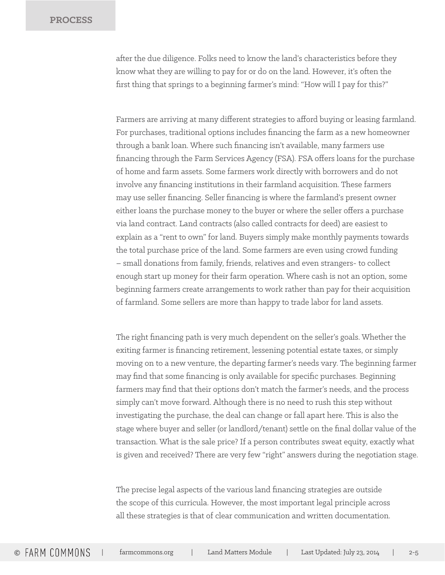after the due diligence. Folks need to know the land's characteristics before they know what they are willing to pay for or do on the land. However, it's often the first thing that springs to a beginning farmer's mind: "How will I pay for this?"

Farmers are arriving at many different strategies to afford buying or leasing farmland. For purchases, traditional options includes financing the farm as a new homeowner through a bank loan. Where such financing isn't available, many farmers use financing through the Farm Services Agency (FSA). FSA offers loans for the purchase of home and farm assets. Some farmers work directly with borrowers and do not involve any financing institutions in their farmland acquisition. These farmers may use seller financing. Seller financing is where the farmland's present owner either loans the purchase money to the buyer or where the seller offers a purchase via land contract. Land contracts (also called contracts for deed) are easiest to explain as a "rent to own" for land. Buyers simply make monthly payments towards the total purchase price of the land. Some farmers are even using crowd funding – small donations from family, friends, relatives and even strangers- to collect enough start up money for their farm operation. Where cash is not an option, some beginning farmers create arrangements to work rather than pay for their acquisition of farmland. Some sellers are more than happy to trade labor for land assets.

The right financing path is very much dependent on the seller's goals. Whether the exiting farmer is financing retirement, lessening potential estate taxes, or simply moving on to a new venture, the departing farmer's needs vary. The beginning farmer may find that some financing is only available for specific purchases. Beginning farmers may find that their options don't match the farmer's needs, and the process simply can't move forward. Although there is no need to rush this step without investigating the purchase, the deal can change or fall apart here. This is also the stage where buyer and seller (or landlord/tenant) settle on the final dollar value of the transaction. What is the sale price? If a person contributes sweat equity, exactly what is given and received? There are very few "right" answers during the negotiation stage.

The precise legal aspects of the various land financing strategies are outside the scope of this curricula. However, the most important legal principle across all these strategies is that of clear communication and written documentation.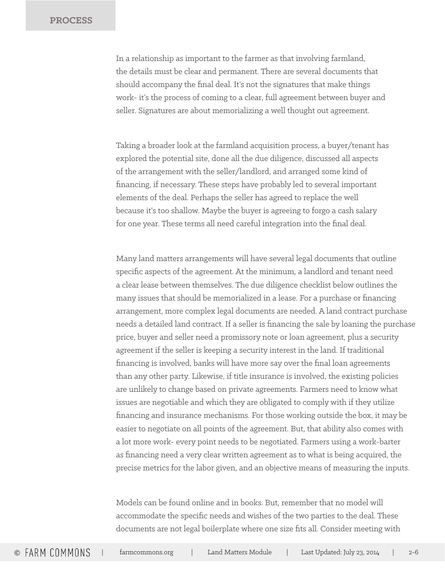In a relationship as important to the farmer as that involving farmland, the details must be clear and permanent. There are several documents that should accompany the final deal. It's not the signatures that make things work- it's the process of coming to a clear, full agreement between buyer and seller. Signatures are about memorializing a well thought out agreement.

Taking a broader look at the farmland acquisition process, a buyer/tenant has explored the potential site, done all the due diligence, discussed all aspects of the arrangement with the seller/landlord, and arranged some kind of financing, if necessary. These steps have probably led to several important elements of the deal. Perhaps the seller has agreed to replace the well because it's too shallow. Maybe the buyer is agreeing to forgo a cash salary for one year. These terms all need careful integration into the final deal.

Many land matters arrangements will have several legal documents that outline specific aspects of the agreement. At the minimum, a landlord and tenant need a clear lease between themselves. The due diligence checklist below outlines the many issues that should be memorialized in a lease. For a purchase or financing arrangement, more complex legal documents are needed. A land contract purchase needs a detailed land contract. If a seller is financing the sale by loaning the purchase price, buyer and seller need a promissory note or loan agreement, plus a security agreement if the seller is keeping a security interest in the land. If traditional financing is involved, banks will have more say over the final loan agreements than any other party. Likewise, if title insurance is involved, the existing policies are unlikely to change based on private agreements. Farmers need to know what issues are negotiable and which they are obligated to comply with if they utilize financing and insurance mechanisms. For those working outside the box, it may be easier to negotiate on all points of the agreement. But, that ability also comes with a lot more work- every point needs to be negotiated. Farmers using a work-barter as financing need a very clear written agreement as to what is being acquired, the precise metrics for the labor given, and an objective means of measuring the inputs.

Models can be found online and in books. But, remember that no model will accommodate the specific needs and wishes of the two parties to the deal. These documents are not legal boilerplate where one size fits all. Consider meeting with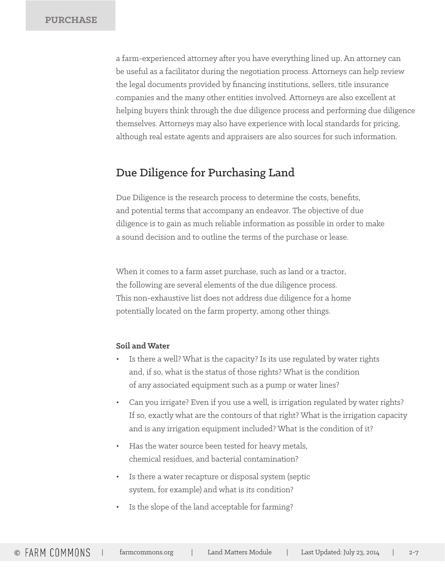a farm-experienced attorney after you have everything lined up. An attorney can be useful as a facilitator during the negotiation process. Attorneys can help review the legal documents provided by financing institutions, sellers, title insurance companies and the many other entities involved. Attorneys are also excellent at helping buyers think through the due diligence process and performing due diligence themselves. Attorneys may also have experience with local standards for pricing, although real estate agents and appraisers are also sources for such information.

### Due Diligence for Purchasing Land

Due Diligence is the research process to determine the costs, benefits, and potential terms that accompany an endeavor. The objective of due diligence is to gain as much reliable information as possible in order to make a sound decision and to outline the terms of the purchase or lease.

When it comes to a farm asset purchase, such as land or a tractor, the following are several elements of the due diligence process. This non-exhaustive list does not address due diligence for a home potentially located on the farm property, among other things.

#### **Soil and Water**

- Is there a well? What is the capacity? Is its use regulated by water rights and, if so, what is the status of those rights? What is the condition of any associated equipment such as a pump or water lines?
- Can you irrigate? Even if you use a well, is irrigation regulated by water rights? If so, exactly what are the contours of that right? What is the irrigation capacity and is any irrigation equipment included? What is the condition of it?
- Has the water source been tested for heavy metals, chemical residues, and bacterial contamination?
- Is there a water recapture or disposal system (septic system, for example) and what is its condition?
- Is the slope of the land acceptable for farming?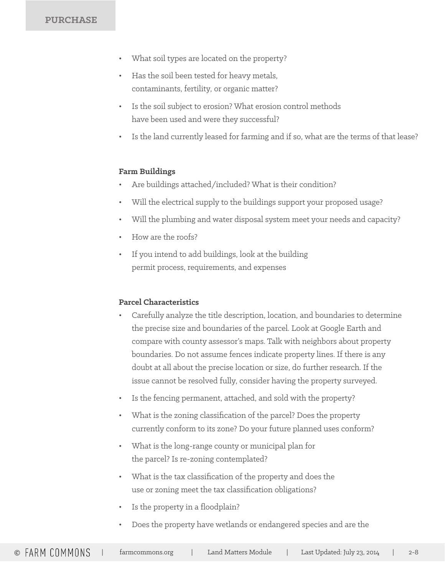### **PURCHASE**

- What soil types are located on the property?
- Has the soil been tested for heavy metals, contaminants, fertility, or organic matter?
- Is the soil subject to erosion? What erosion control methods have been used and were they successful?
- Is the land currently leased for farming and if so, what are the terms of that lease?

#### **Farm Buildings**

- Are buildings attached/included? What is their condition?
- Will the electrical supply to the buildings support your proposed usage?
- Will the plumbing and water disposal system meet your needs and capacity?
- How are the roofs?
- If you intend to add buildings, look at the building permit process, requirements, and expenses

#### **Parcel Characteristics**

- Carefully analyze the title description, location, and boundaries to determine the precise size and boundaries of the parcel. Look at Google Earth and compare with county assessor's maps. Talk with neighbors about property boundaries. Do not assume fences indicate property lines. If there is any doubt at all about the precise location or size, do further research. If the issue cannot be resolved fully, consider having the property surveyed.
- Is the fencing permanent, attached, and sold with the property?
- What is the zoning classification of the parcel? Does the property currently conform to its zone? Do your future planned uses conform?
- What is the long-range county or municipal plan for the parcel? Is re-zoning contemplated?
- What is the tax classification of the property and does the use or zoning meet the tax classification obligations?
- Is the property in a floodplain?
- Does the property have wetlands or endangered species and are the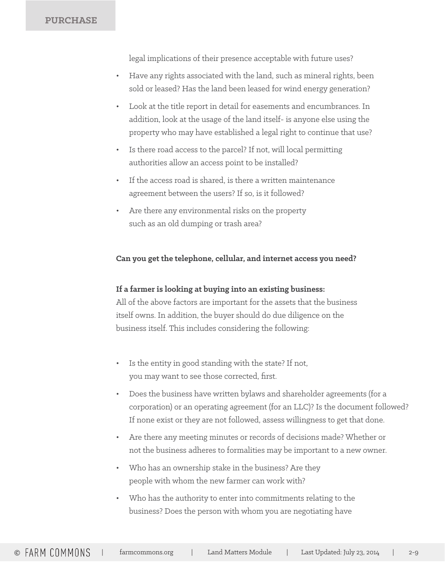**PURCHASE**

legal implications of their presence acceptable with future uses?

- Have any rights associated with the land, such as mineral rights, been sold or leased? Has the land been leased for wind energy generation?
- Look at the title report in detail for easements and encumbrances. In addition, look at the usage of the land itself- is anyone else using the property who may have established a legal right to continue that use?
- Is there road access to the parcel? If not, will local permitting authorities allow an access point to be installed?
- If the access road is shared, is there a written maintenance agreement between the users? If so, is it followed?
- Are there any environmental risks on the property such as an old dumping or trash area?

#### **Can you get the telephone, cellular, and internet access you need?**

#### **If a farmer is looking at buying into an existing business:**

All of the above factors are important for the assets that the business itself owns. In addition, the buyer should do due diligence on the business itself. This includes considering the following:

- Is the entity in good standing with the state? If not, you may want to see those corrected, first.
- Does the business have written bylaws and shareholder agreements (for a corporation) or an operating agreement (for an LLC)? Is the document followed? If none exist or they are not followed, assess willingness to get that done.
- Are there any meeting minutes or records of decisions made? Whether or not the business adheres to formalities may be important to a new owner.
- Who has an ownership stake in the business? Are they people with whom the new farmer can work with?
- Who has the authority to enter into commitments relating to the business? Does the person with whom you are negotiating have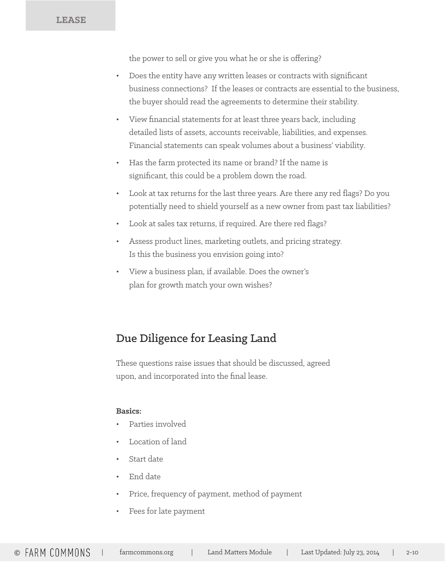**LEASE**

the power to sell or give you what he or she is offering?

- Does the entity have any written leases or contracts with significant business connections? If the leases or contracts are essential to the business, the buyer should read the agreements to determine their stability.
- View financial statements for at least three years back, including detailed lists of assets, accounts receivable, liabilities, and expenses. Financial statements can speak volumes about a business' viability.
- Has the farm protected its name or brand? If the name is significant, this could be a problem down the road.
- Look at tax returns for the last three years. Are there any red flags? Do you potentially need to shield yourself as a new owner from past tax liabilities?
- Look at sales tax returns, if required. Are there red flags?
- Assess product lines, marketing outlets, and pricing strategy. Is this the business you envision going into?
- View a business plan, if available. Does the owner's plan for growth match your own wishes?

## Due Diligence for Leasing Land

These questions raise issues that should be discussed, agreed upon, and incorporated into the final lease.

#### **Basics:**

- Parties involved
- Location of land
- Start date
- End date
- Price, frequency of payment, method of payment
- Fees for late payment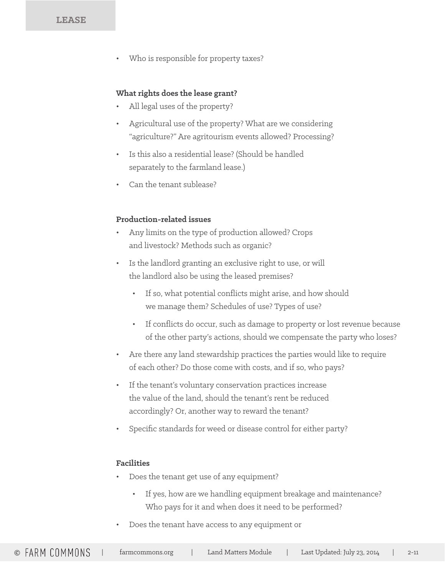Who is responsible for property taxes?

#### **What rights does the lease grant?**

- All legal uses of the property?
- Agricultural use of the property? What are we considering "agriculture?" Are agritourism events allowed? Processing?
- Is this also a residential lease? (Should be handled separately to the farmland lease.)
- Can the tenant sublease?

#### **Production-related issues**

- Any limits on the type of production allowed? Crops and livestock? Methods such as organic?
- Is the landlord granting an exclusive right to use, or will the landlord also be using the leased premises?
	- If so, what potential conflicts might arise, and how should we manage them? Schedules of use? Types of use?
	- If conflicts do occur, such as damage to property or lost revenue because of the other party's actions, should we compensate the party who loses?
- Are there any land stewardship practices the parties would like to require of each other? Do those come with costs, and if so, who pays?
- If the tenant's voluntary conservation practices increase the value of the land, should the tenant's rent be reduced accordingly? Or, another way to reward the tenant?
- Specific standards for weed or disease control for either party?

#### **Facilities**

- Does the tenant get use of any equipment?
	- If yes, how are we handling equipment breakage and maintenance? Who pays for it and when does it need to be performed?
- Does the tenant have access to any equipment or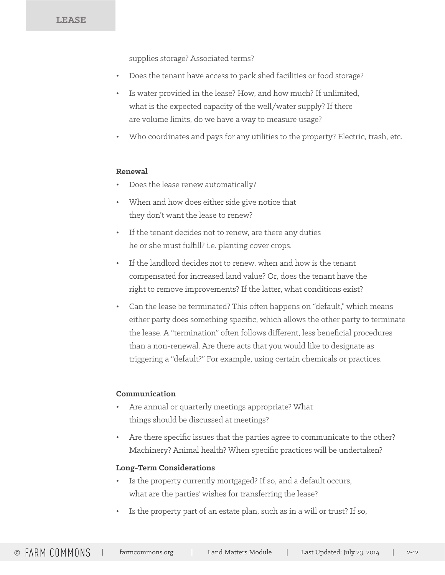supplies storage? Associated terms?

- Does the tenant have access to pack shed facilities or food storage?
- Is water provided in the lease? How, and how much? If unlimited, what is the expected capacity of the well/water supply? If there are volume limits, do we have a way to measure usage?
- Who coordinates and pays for any utilities to the property? Electric, trash, etc.

#### **Renewal**

- Does the lease renew automatically?
- When and how does either side give notice that they don't want the lease to renew?
- If the tenant decides not to renew, are there any duties he or she must fulfill? i.e. planting cover crops.
- If the landlord decides not to renew, when and how is the tenant compensated for increased land value? Or, does the tenant have the right to remove improvements? If the latter, what conditions exist?
- Can the lease be terminated? This often happens on "default," which means either party does something specific, which allows the other party to terminate the lease. A "termination" often follows different, less beneficial procedures than a non-renewal. Are there acts that you would like to designate as triggering a "default?" For example, using certain chemicals or practices.

#### **Communication**

- Are annual or quarterly meetings appropriate? What things should be discussed at meetings?
- Are there specific issues that the parties agree to communicate to the other? Machinery? Animal health? When specific practices will be undertaken?

#### **Long-Term Considerations**

- Is the property currently mortgaged? If so, and a default occurs, what are the parties' wishes for transferring the lease?
- Is the property part of an estate plan, such as in a will or trust? If so,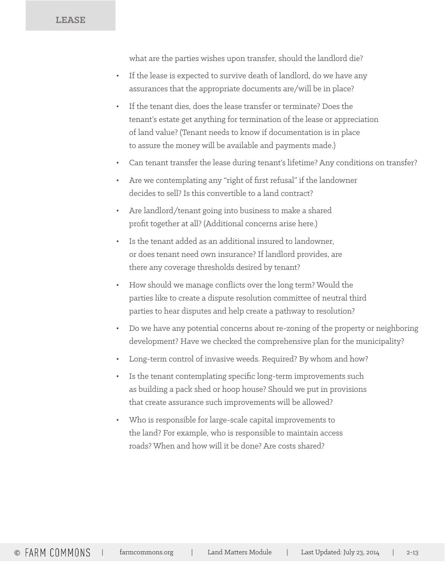**LEASE**

what are the parties wishes upon transfer, should the landlord die?

- If the lease is expected to survive death of landlord, do we have any assurances that the appropriate documents are/will be in place?
- If the tenant dies, does the lease transfer or terminate? Does the tenant's estate get anything for termination of the lease or appreciation of land value? (Tenant needs to know if documentation is in place to assure the money will be available and payments made.)
- Can tenant transfer the lease during tenant's lifetime? Any conditions on transfer?
- Are we contemplating any "right of first refusal" if the landowner decides to sell? Is this convertible to a land contract?
- Are landlord/tenant going into business to make a shared profit together at all? (Additional concerns arise here.)
- Is the tenant added as an additional insured to landowner, or does tenant need own insurance? If landlord provides, are there any coverage thresholds desired by tenant?
- How should we manage conflicts over the long term? Would the parties like to create a dispute resolution committee of neutral third parties to hear disputes and help create a pathway to resolution?
- Do we have any potential concerns about re-zoning of the property or neighboring development? Have we checked the comprehensive plan for the municipality?
- Long-term control of invasive weeds. Required? By whom and how?
- Is the tenant contemplating specific long-term improvements such as building a pack shed or hoop house? Should we put in provisions that create assurance such improvements will be allowed?
- Who is responsible for large-scale capital improvements to the land? For example, who is responsible to maintain access roads? When and how will it be done? Are costs shared?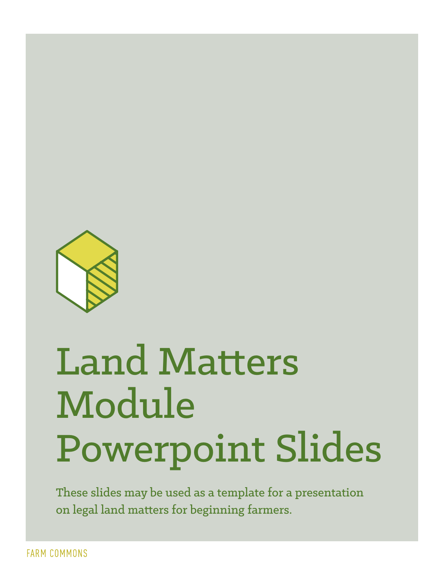

# Land Matters Module Powerpoint Slides

These slides may be used as a template for a presentation on legal land matters for beginning farmers.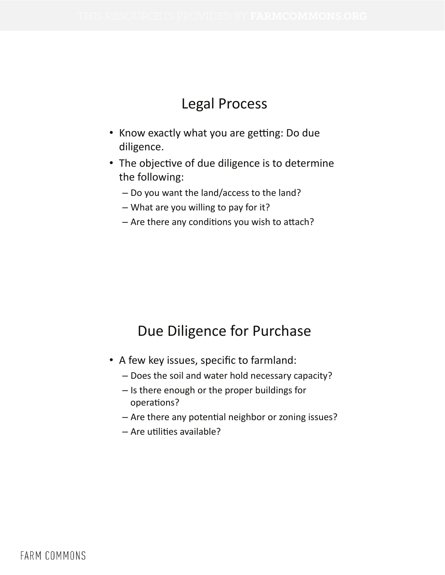## Legal Process

- Know exactly what you are getting: Do due diligence.
- The objective of due diligence is to determine the following:
	- Do you want the land/access to the land?
	- $-$  What are you willing to pay for it?
	- $-$  Are there any conditions you wish to attach?

## Due Diligence for Purchase

- A few key issues, specific to farmland:
	- Does the soil and water hold necessary capacity?
	- Is there enough or the proper buildings for operations?
	- Are there any potential neighbor or zoning issues?
	- $-$  Are utilities available?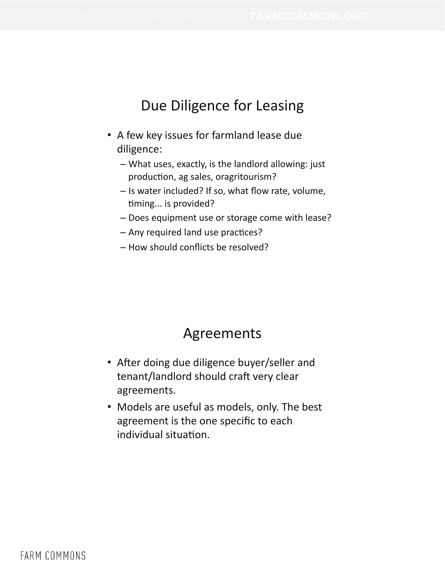## Due Diligence for Leasing

- A few key issues for farmland lease due diligence:
	- What uses, exactly, is the landlord allowing: just production, ag sales, oragritourism?
	- Is water included? If so, what flow rate, volume, timing... is provided?
	- Does equipment use or storage come with lease?
	- Any required land use practices?
	- How should conflicts be resolved?

## Agreements

- After doing due diligence buyer/seller and tenant/landlord should craft very clear agreements.
- Models are useful as models, only. The best agreement is the one specific to each individual situation.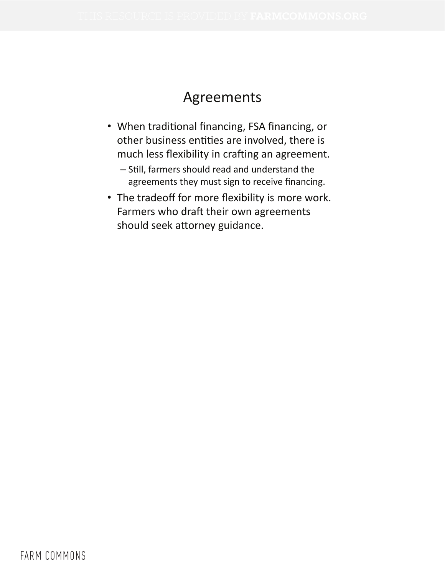## Agreements

- When traditional financing, FSA financing, or other business entities are involved, there is much less flexibility in crafting an agreement.
	- Still, farmers should read and understand the agreements they must sign to receive financing.
- The tradeoff for more flexibility is more work. Farmers who draft their own agreements should seek attorney guidance.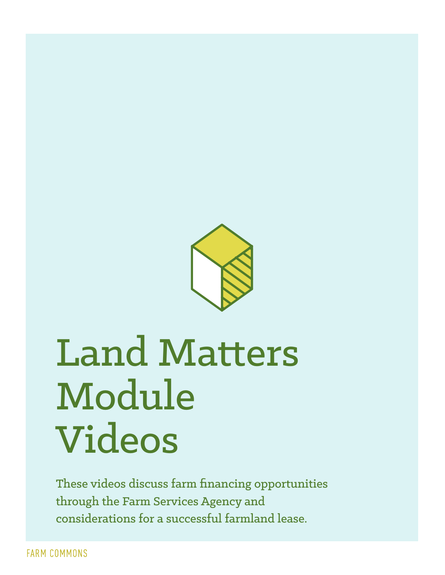

## Land Matters Module Videos

These videos discuss farm financing opportunities through the Farm Services Agency and considerations for a successful farmland lease.

**FARM COMMONS**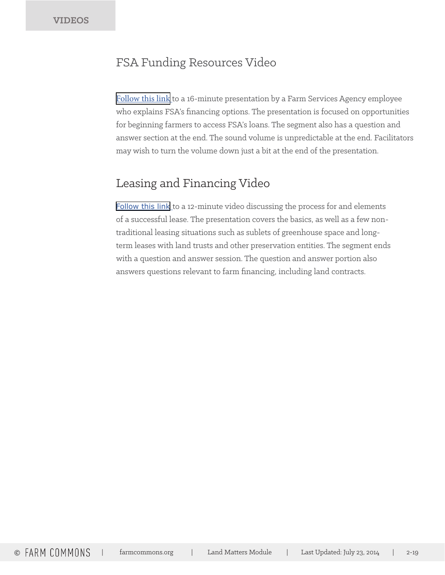## FSA Funding Resources Video

[Follow this link](http://vimeo.com/102525652) to a 16-minute presentation by a Farm Services Agency employee who explains FSA's financing options. The presentation is focused on opportunities for beginning farmers to access FSA's loans. The segment also has a question and answer section at the end. The sound volume is unpredictable at the end. Facilitators may wish to turn the volume down just a bit at the end of the presentation.

## Leasing and Financing Video

[Follow this link](http://vimeo.com/102525653) to a 12-minute video discussing the process for and elements of a successful lease. The presentation covers the basics, as well as a few nontraditional leasing situations such as sublets of greenhouse space and longterm leases with land trusts and other preservation entities. The segment ends with a question and answer session. The question and answer portion also answers questions relevant to farm financing, including land contracts.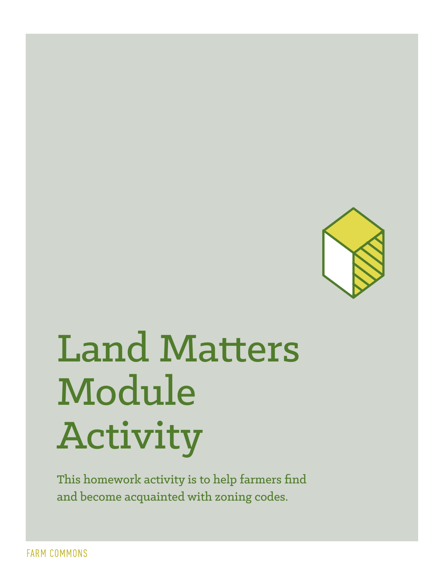

# Land Matters Module Activity

This homework activity is to help farmers find and become acquainted with zoning codes.

**FARM COMMONS**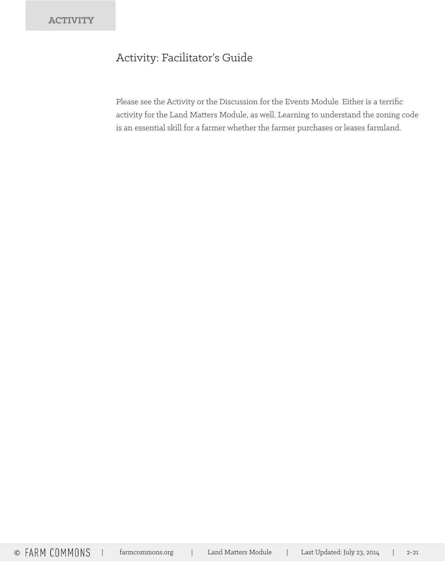## Activity: Facilitator's Guide

Please see the Activity or the Discussion for the Events Module. Either is a terrific activity for the Land Matters Module, as well. Learning to understand the zoning code is an essential skill for a farmer whether the farmer purchases or leases farmland.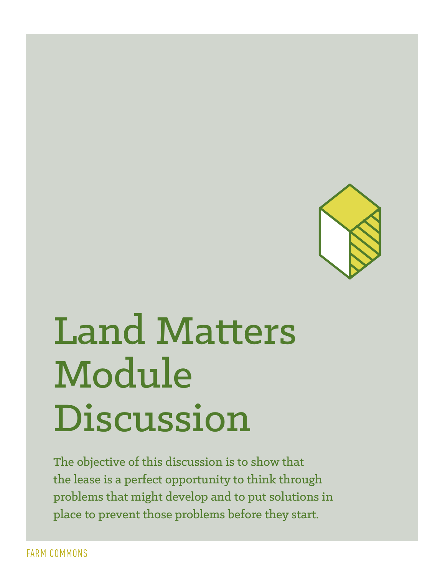

# Land Matters Module Discussion

The objective of this discussion is to show that the lease is a perfect opportunity to think through problems that might develop and to put solutions in place to prevent those problems before they start.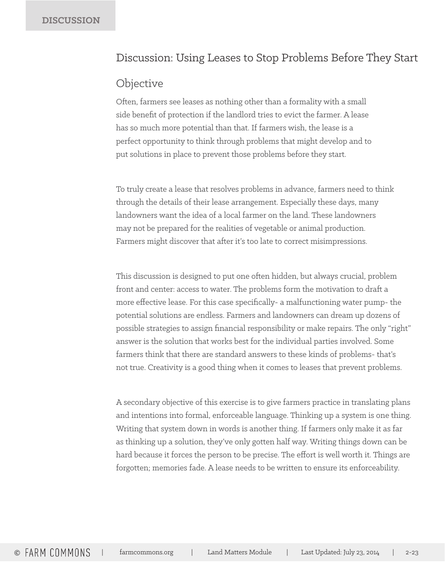### Discussion: Using Leases to Stop Problems Before They Start

### **Objective**

Often, farmers see leases as nothing other than a formality with a small side benefit of protection if the landlord tries to evict the farmer. A lease has so much more potential than that. If farmers wish, the lease is a perfect opportunity to think through problems that might develop and to put solutions in place to prevent those problems before they start.

To truly create a lease that resolves problems in advance, farmers need to think through the details of their lease arrangement. Especially these days, many landowners want the idea of a local farmer on the land. These landowners may not be prepared for the realities of vegetable or animal production. Farmers might discover that after it's too late to correct misimpressions.

This discussion is designed to put one often hidden, but always crucial, problem front and center: access to water. The problems form the motivation to draft a more effective lease. For this case specifically- a malfunctioning water pump- the potential solutions are endless. Farmers and landowners can dream up dozens of possible strategies to assign financial responsibility or make repairs. The only "right" answer is the solution that works best for the individual parties involved. Some farmers think that there are standard answers to these kinds of problems- that's not true. Creativity is a good thing when it comes to leases that prevent problems.

A secondary objective of this exercise is to give farmers practice in translating plans and intentions into formal, enforceable language. Thinking up a system is one thing. Writing that system down in words is another thing. If farmers only make it as far as thinking up a solution, they've only gotten half way. Writing things down can be hard because it forces the person to be precise. The effort is well worth it. Things are forgotten; memories fade. A lease needs to be written to ensure its enforceability.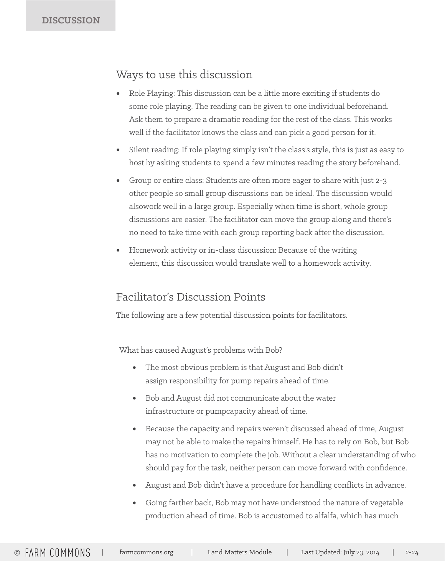## Ways to use this discussion

- Role Playing: This discussion can be a little more exciting if students do some role playing. The reading can be given to one individual beforehand. Ask them to prepare a dramatic reading for the rest of the class. This works well if the facilitator knows the class and can pick a good person for it.
- Silent reading: If role playing simply isn't the class's style, this is just as easy to host by asking students to spend a few minutes reading the story beforehand.
- Group or entire class: Students are often more eager to share with just 2-3 other people so small group discussions can be ideal. The discussion would alsowork well in a large group. Especially when time is short, whole group discussions are easier. The facilitator can move the group along and there's no need to take time with each group reporting back after the discussion.
- Homework activity or in-class discussion: Because of the writing element, this discussion would translate well to a homework activity.

## Facilitator's Discussion Points

The following are a few potential discussion points for facilitators.

What has caused August's problems with Bob?

- The most obvious problem is that August and Bob didn't assign responsibility for pump repairs ahead of time.
- Bob and August did not communicate about the water infrastructure or pumpcapacity ahead of time.
- Because the capacity and repairs weren't discussed ahead of time, August may not be able to make the repairs himself. He has to rely on Bob, but Bob has no motivation to complete the job. Without a clear understanding of who should pay for the task, neither person can move forward with confidence.
- August and Bob didn't have a procedure for handling conflicts in advance.
- Going farther back, Bob may not have understood the nature of vegetable production ahead of time. Bob is accustomed to alfalfa, which has much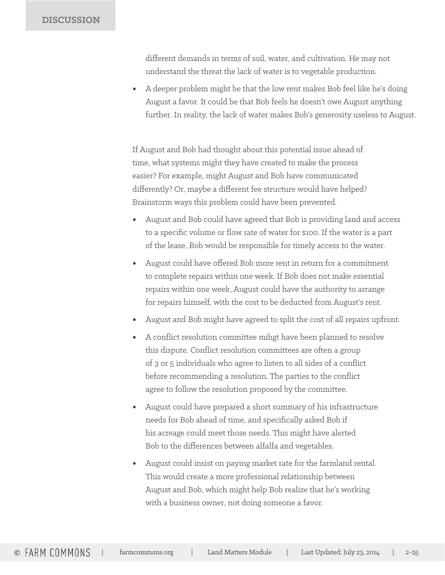#### **DISCUSSION**

different demands in terms of soil, water, and cultivation. He may not understand the threat the lack of water is to vegetable production.

• A deeper problem might be that the low rent makes Bob feel like he's doing August a favor. It could be that Bob feels he doesn't owe August anything further. In reality, the lack of water makes Bob's generosity useless to August.

If August and Bob had thought about this potential issue ahead of time, what systems might they have created to make the process easier? For example, might August and Bob have communicated differently? Or, maybe a different fee structure would have helped? Brainstorm ways this problem could have been prevented.

- August and Bob could have agreed that Bob is providing land and access to a specific volume or flow rate of water for \$100. If the water is a part of the lease, Bob would be responsible for timely access to the water.
- August could have offered Bob more rent in return for a commitment to complete repairs within one week. If Bob does not make essential repairs within one week, August could have the authority to arrange for repairs himself, with the cost to be deducted from August's rent.
- August and Bob might have agreed to split the cost of all repairs upfront.
- A conflict resolution committee mihgt have been planned to resolve this dispute. Conflict resolution committees are often a group of 3 or 5 individuals who agree to listen to all sides of a conflict before recommending a resolution. The parties to the conflict agree to follow the resolution proposed by the committee.
- August could have prepared a short summary of his infrastructure needs for Bob ahead of time, and specifically asked Bob if his acreage could meet those needs. This might have alerted Bob to the differences between alfalfa and vegetables.
- August could insist on paying market rate for the farmland rental. This would create a more professional relationship between August and Bob, which might help Bob realize that he's working with a business owner, not doing someone a favor.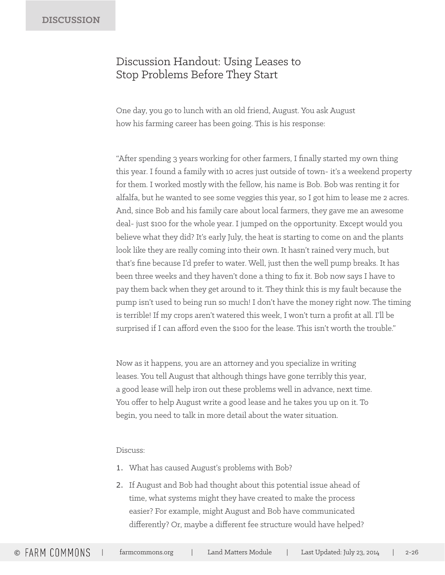## Discussion Handout: Using Leases to Stop Problems Before They Start

One day, you go to lunch with an old friend, August. You ask August how his farming career has been going. This is his response:

"After spending 3 years working for other farmers, I finally started my own thing this year. I found a family with 10 acres just outside of town- it's a weekend property for them. I worked mostly with the fellow, his name is Bob. Bob was renting it for alfalfa, but he wanted to see some veggies this year, so I got him to lease me 2 acres. And, since Bob and his family care about local farmers, they gave me an awesome deal- just \$100 for the whole year. I jumped on the opportunity. Except would you believe what they did? It's early July, the heat is starting to come on and the plants look like they are really coming into their own. It hasn't rained very much, but that's fine because I'd prefer to water. Well, just then the well pump breaks. It has been three weeks and they haven't done a thing to fix it. Bob now says I have to pay them back when they get around to it. They think this is my fault because the pump isn't used to being run so much! I don't have the money right now. The timing is terrible! If my crops aren't watered this week, I won't turn a profit at all. I'll be surprised if I can afford even the \$100 for the lease. This isn't worth the trouble."

Now as it happens, you are an attorney and you specialize in writing leases. You tell August that although things have gone terribly this year, a good lease will help iron out these problems well in advance, next time. You offer to help August write a good lease and he takes you up on it. To begin, you need to talk in more detail about the water situation.

#### Discuss:

- 1. What has caused August's problems with Bob?
- 2. If August and Bob had thought about this potential issue ahead of time, what systems might they have created to make the process easier? For example, might August and Bob have communicated differently? Or, maybe a different fee structure would have helped?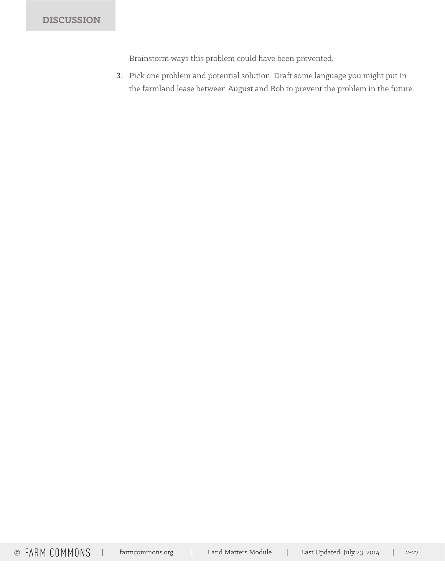Brainstorm ways this problem could have been prevented.

3. Pick one problem and potential solution. Draft some language you might put in the farmland lease between August and Bob to prevent the problem in the future.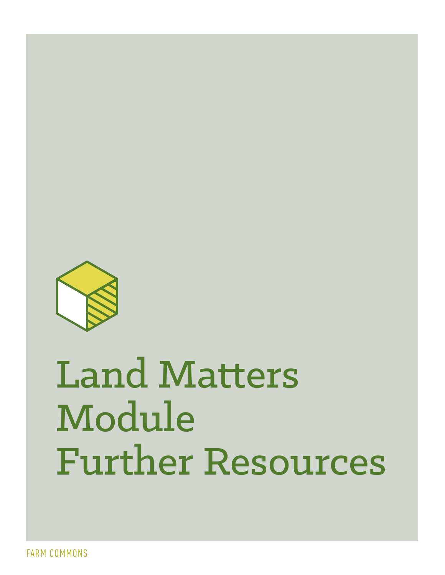

# Land Matters Module Further Resources

**FARM COMMONS**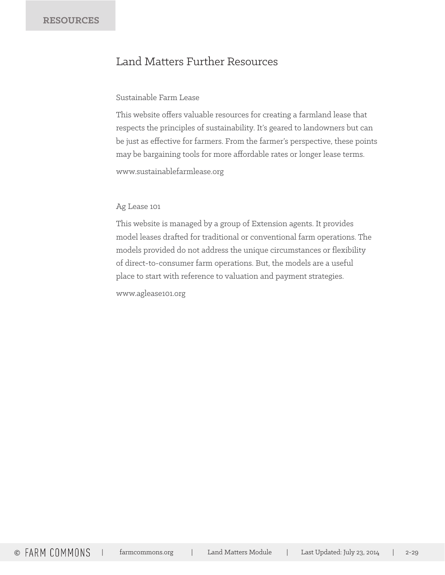## Land Matters Further Resources

#### Sustainable Farm Lease

This website offers valuable resources for creating a farmland lease that respects the principles of sustainability. It's geared to landowners but can be just as effective for farmers. From the farmer's perspective, these points may be bargaining tools for more affordable rates or longer lease terms.

www.sustainablefarmlease.org

#### Ag Lease 101

This website is managed by a group of Extension agents. It provides model leases drafted for traditional or conventional farm operations. The models provided do not address the unique circumstances or flexibility of direct-to-consumer farm operations. But, the models are a useful place to start with reference to valuation and payment strategies.

www.aglease101.org